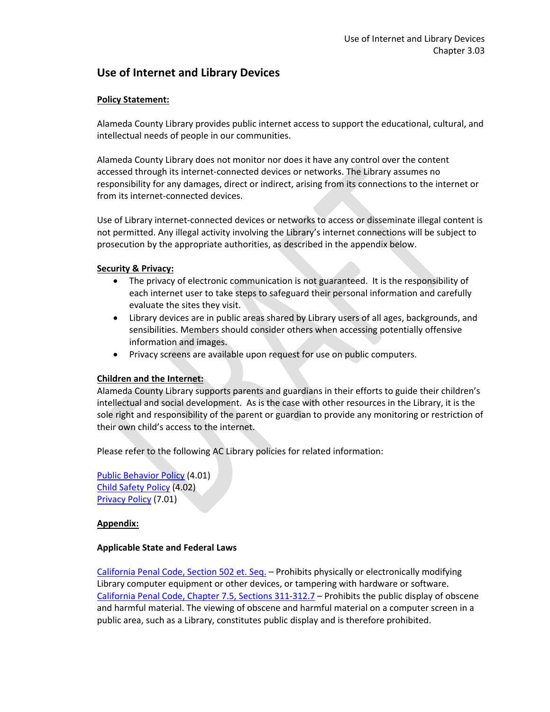# **Use of Internet and Library Devices**

## **Policy Statement:**

Alameda County Library provides public internet access to support the educational, cultural, and intellectual needs of people in our communities.

Alameda County Library does not monitor nor does it have any control over the content accessed through its internet‐connected devices or networks. The Library assumes no responsibility for any damages, direct or indirect, arising from its connections to the internet or from its internet-connected devices.

Use of Library internet‐connected devices or networks to access or disseminate illegal content is not permitted. Any illegal activity involving the Library's internet connections will be subject to prosecution by the appropriate authorities, as described in the appendix below.

### **Security & Privacy:**

- The privacy of electronic communication is not guaranteed. It is the responsibility of each internet user to take steps to safeguard their personal information and carefully evaluate the sites they visit.
- Library devices are in public areas shared by Library users of all ages, backgrounds, and sensibilities. Members should consider others when accessing potentially offensive information and images.
- Privacy screens are available upon request for use on public computers.

## **Children and the Internet:**

Alameda County Library supports parents and guardians in their efforts to guide their children's intellectual and social development. As is the case with other resources in the Library, it is the sole right and responsibility of the parent or guardian to provide any monitoring or restriction of their own child's access to the internet.

Please refer to the following AC Library policies for related information:

Public Behavior Policy (4.01) Child Safety Policy (4.02) Privacy Policy (7.01)

#### **Appendix:**

#### **Applicable State and Federal Laws**

California Penal Code, Section 502 et. Seq. – Prohibits physically or electronically modifying Library computer equipment or other devices, or tampering with hardware or software. California Penal Code, Chapter 7.5, Sections 311‐312.7 – Prohibits the public display of obscene and harmful material. The viewing of obscene and harmful material on a computer screen in a public area, such as a Library, constitutes public display and is therefore prohibited.